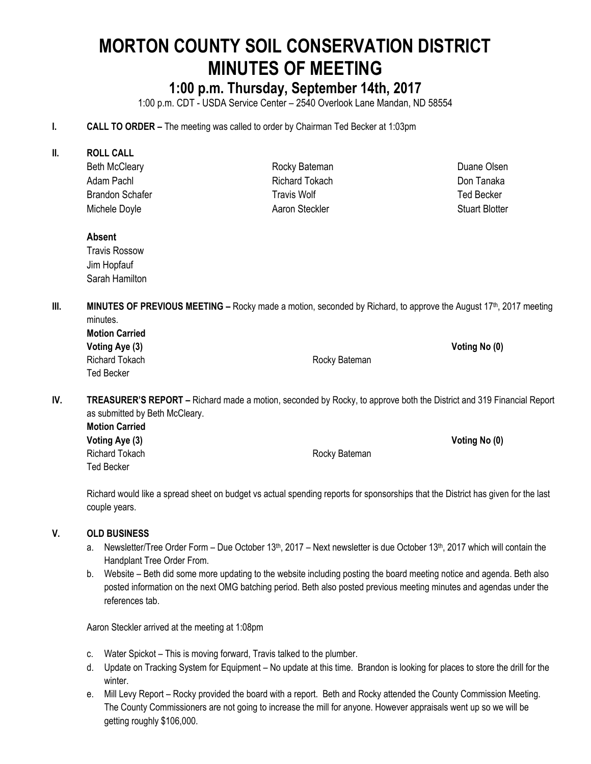# **MORTON COUNTY SOIL CONSERVATION DISTRICT MINUTES OF MEETING**

# **1:00 p.m. Thursday, September 14th, 2017**

1:00 p.m. CDT - USDA Service Center – 2540 Overlook Lane Mandan, ND 58554

- **I. CALL TO ORDER –** The meeting was called to order by Chairman Ted Becker at 1:03pm
- **II. ROLL CALL**
	- Beth McCleary Adam Pachl Brandon Schafer Michele Doyle

Rocky Bateman Richard Tokach Travis Wolf Aaron Steckler

Duane Olsen Don Tanaka Ted Becker Stuart Blotter

#### **Absent**

Travis Rossow Jim Hopfauf Sarah Hamilton

**III. MINUTES OF PREVIOUS MEETING** – Rocky made a motion, seconded by Richard, to approve the August 17<sup>th</sup>, 2017 meeting minutes.

| <b>Motion Carried</b> |               |               |
|-----------------------|---------------|---------------|
| Voting Aye (3)        |               | Voting No (0) |
| Richard Tokach        | Rocky Bateman |               |
| Ted Becker            |               |               |

**IV. TREASURER'S REPORT –** Richard made a motion, seconded by Rocky, to approve both the District and 319 Financial Report as submitted by Beth McCleary.

**Motion Carried Voting Aye (3) Voting No (0)** Richard Tokach **Rocky Bateman** Ted Becker

Richard would like a spread sheet on budget vs actual spending reports for sponsorships that the District has given for the last couple years.

#### **V. OLD BUSINESS**

- a. Newsletter/Tree Order Form Due October 13<sup>th</sup>, 2017 Next newsletter is due October 13<sup>th</sup>, 2017 which will contain the Handplant Tree Order From.
- b. Website Beth did some more updating to the website including posting the board meeting notice and agenda. Beth also posted information on the next OMG batching period. Beth also posted previous meeting minutes and agendas under the references tab.

Aaron Steckler arrived at the meeting at 1:08pm

- c. Water Spickot This is moving forward, Travis talked to the plumber.
- d. Update on Tracking System for Equipment No update at this time. Brandon is looking for places to store the drill for the winter.
- e. Mill Levy Report Rocky provided the board with a report. Beth and Rocky attended the County Commission Meeting. The County Commissioners are not going to increase the mill for anyone. However appraisals went up so we will be getting roughly \$106,000.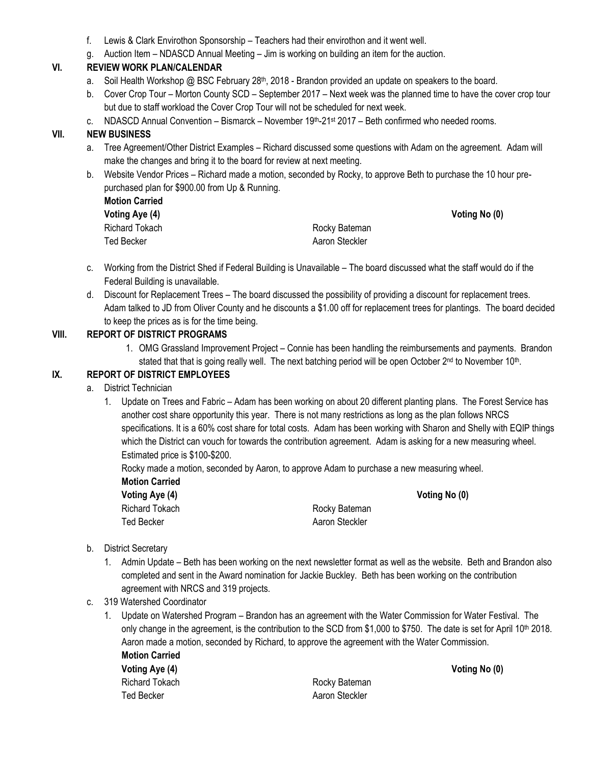- f. Lewis & Clark Envirothon Sponsorship Teachers had their envirothon and it went well.
- g. Auction Item NDASCD Annual Meeting Jim is working on building an item for the auction.

## **VI. REVIEW WORK PLAN/CALENDAR**

- a. Soil Health Workshop  $\oslash \oslash$  BSC February 28<sup>th</sup>, 2018 Brandon provided an update on speakers to the board.
- b. Cover Crop Tour Morton County SCD September 2017 Next week was the planned time to have the cover crop tour but due to staff workload the Cover Crop Tour will not be scheduled for next week.
- c. NDASCD Annual Convention Bismarck November  $19<sup>th</sup>$ -21st 2017 Beth confirmed who needed rooms.

## **VII. NEW BUSINESS**

- a. Tree Agreement/Other District Examples Richard discussed some questions with Adam on the agreement. Adam will make the changes and bring it to the board for review at next meeting.
- b. Website Vendor Prices Richard made a motion, seconded by Rocky, to approve Beth to purchase the 10 hour prepurchased plan for \$900.00 from Up & Running.

| <b>Motion Carried</b> |                |               |
|-----------------------|----------------|---------------|
| Voting Aye (4)        |                | Voting No (0) |
| Richard Tokach        | Rocky Bateman  |               |
| Ted Becker            | Aaron Steckler |               |

- c. Working from the District Shed if Federal Building is Unavailable The board discussed what the staff would do if the Federal Building is unavailable.
- d. Discount for Replacement Trees The board discussed the possibility of providing a discount for replacement trees. Adam talked to JD from Oliver County and he discounts a \$1.00 off for replacement trees for plantings. The board decided to keep the prices as is for the time being.

#### **VIII. REPORT OF DISTRICT PROGRAMS**

1. OMG Grassland Improvement Project – Connie has been handling the reimbursements and payments. Brandon stated that that is going really well. The next batching period will be open October 2<sup>nd</sup> to November 10<sup>th</sup>.

#### **IX. REPORT OF DISTRICT EMPLOYEES**

- a. District Technician
	- 1. Update on Trees and Fabric Adam has been working on about 20 different planting plans. The Forest Service has another cost share opportunity this year. There is not many restrictions as long as the plan follows NRCS specifications. It is a 60% cost share for total costs. Adam has been working with Sharon and Shelly with EQIP things which the District can vouch for towards the contribution agreement. Adam is asking for a new measuring wheel. Estimated price is \$100-\$200.

Rocky made a motion, seconded by Aaron, to approve Adam to purchase a new measuring wheel.

**Motion Carried**

Richard Tokach **Richard Tokach** Rocky Bateman Ted Becker **Aaron Steckler** Aaron Steckler

**Voting Aye (4) Voting No (0)**

- b. District Secretary
	- 1. Admin Update Beth has been working on the next newsletter format as well as the website. Beth and Brandon also completed and sent in the Award nomination for Jackie Buckley. Beth has been working on the contribution agreement with NRCS and 319 projects.
- c. 319 Watershed Coordinator
	- 1. Update on Watershed Program Brandon has an agreement with the Water Commission for Water Festival. The only change in the agreement, is the contribution to the SCD from \$1,000 to \$750. The date is set for April 10th 2018. Aaron made a motion, seconded by Richard, to approve the agreement with the Water Commission.

**Motion Carried Voting Aye (4) Voting No (0)** Richard Tokach **Richard Tokach** Rocky Bateman

Ted Becker **Aaron Steckler** Aaron Steckler